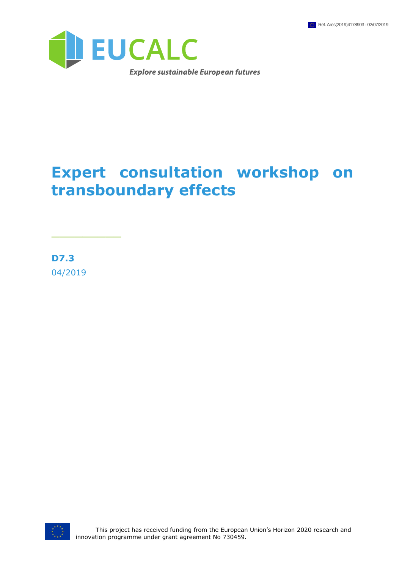

## **Expert consultation workshop on transboundary effects**

**D7.3** 04/2019

\_\_\_\_\_\_\_\_\_

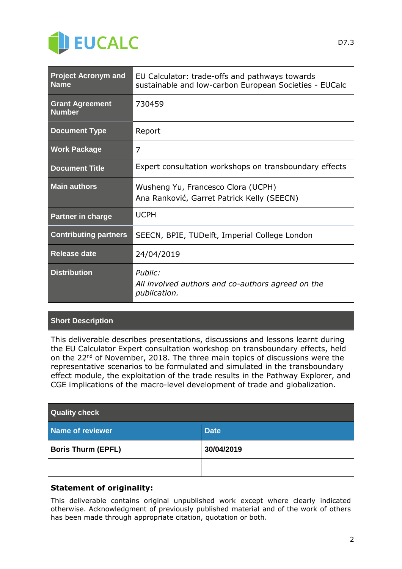

| <b>Project Acronym and</b><br><b>Name</b> | EU Calculator: trade-offs and pathways towards<br>sustainable and low-carbon European Societies - EUCalc |
|-------------------------------------------|----------------------------------------------------------------------------------------------------------|
| <b>Grant Agreement</b><br><b>Number</b>   | 730459                                                                                                   |
| <b>Document Type</b>                      | Report                                                                                                   |
| <b>Work Package</b>                       | 7                                                                                                        |
| <b>Document Title</b>                     | Expert consultation workshops on transboundary effects                                                   |
| <b>Main authors</b>                       | Wusheng Yu, Francesco Clora (UCPH)<br>Ana Ranković, Garret Patrick Kelly (SEECN)                         |
| <b>Partner in charge</b>                  | <b>UCPH</b>                                                                                              |
| <b>Contributing partners</b>              | SEECN, BPIE, TUDelft, Imperial College London                                                            |
| Release date                              | 24/04/2019                                                                                               |
| <b>Distribution</b>                       | Public:<br>All involved authors and co-authors agreed on the<br>publication.                             |

#### **Short Description**

This deliverable describes presentations, discussions and lessons learnt during the EU Calculator Expert consultation workshop on transboundary effects, held on the 22<sup>nd</sup> of November, 2018. The three main topics of discussions were the representative scenarios to be formulated and simulated in the transboundary effect module, the exploitation of the trade results in the Pathway Explorer, and CGE implications of the macro-level development of trade and globalization.

| <b>Quality check</b>      |             |
|---------------------------|-------------|
| Name of reviewer          | <b>Date</b> |
| <b>Boris Thurm (EPFL)</b> | 30/04/2019  |
|                           |             |

#### **Statement of originality:**

This deliverable contains original unpublished work except where clearly indicated otherwise. Acknowledgment of previously published material and of the work of others has been made through appropriate citation, quotation or both.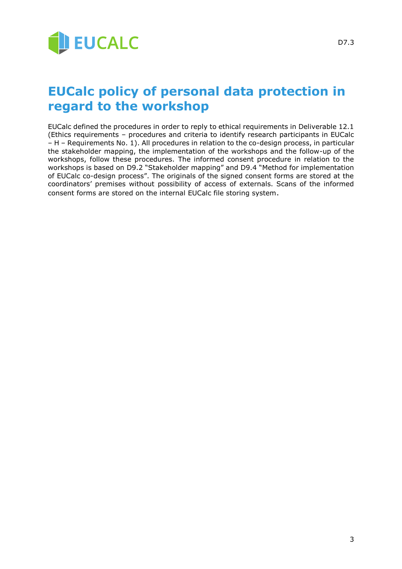

EUCalc defined the procedures in order to reply to ethical requirements in Deliverable 12.1 (Ethics requirements – procedures and criteria to identify research participants in EUCalc – H – Requirements No. 1). All procedures in relation to the co-design process, in particular the stakeholder mapping, the implementation of the workshops and the follow-up of the workshops, follow these procedures. The informed consent procedure in relation to the workshops is based on D9.2 "Stakeholder mapping" and D9.4 "Method for implementation of EUCalc co-design process". The originals of the signed consent forms are stored at the coordinators' premises without possibility of access of externals. Scans of the informed consent forms are stored on the internal EUCalc file storing system.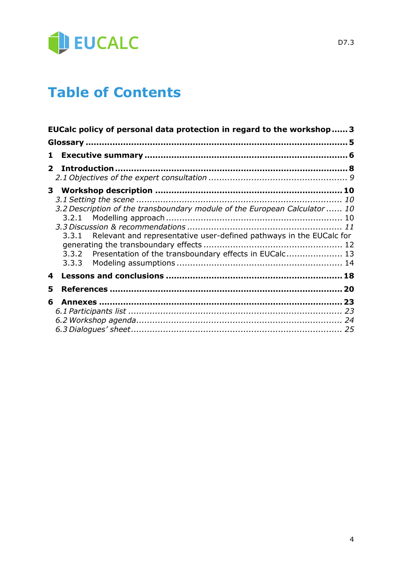

## **Table of Contents**

|   | EUCalc policy of personal data protection in regard to the workshop 3                                                                                                                                                  |  |
|---|------------------------------------------------------------------------------------------------------------------------------------------------------------------------------------------------------------------------|--|
|   |                                                                                                                                                                                                                        |  |
| 1 |                                                                                                                                                                                                                        |  |
|   | $\mathbf{2}$                                                                                                                                                                                                           |  |
|   |                                                                                                                                                                                                                        |  |
|   | 3.2 Description of the transboundary module of the European Calculator 10<br>3.3.1 Relevant and representative user-defined pathways in the EUCalc for<br>3.3.2 Presentation of the transboundary effects in EUCalc 13 |  |
| 4 |                                                                                                                                                                                                                        |  |
| 5 |                                                                                                                                                                                                                        |  |
| 6 |                                                                                                                                                                                                                        |  |
|   |                                                                                                                                                                                                                        |  |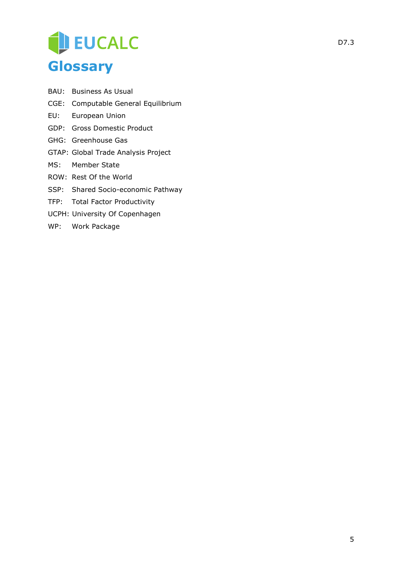# EUCALC **Glossary**

- BAU: Business As Usual
- CGE: Computable General Equilibrium
- EU: European Union
- GDP: Gross Domestic Product
- GHG: Greenhouse Gas
- GTAP: Global Trade Analysis Project
- MS: Member State
- ROW: Rest Of the World
- SSP: Shared Socio-economic Pathway
- TFP: Total Factor Productivity
- UCPH: University Of Copenhagen
- WP: Work Package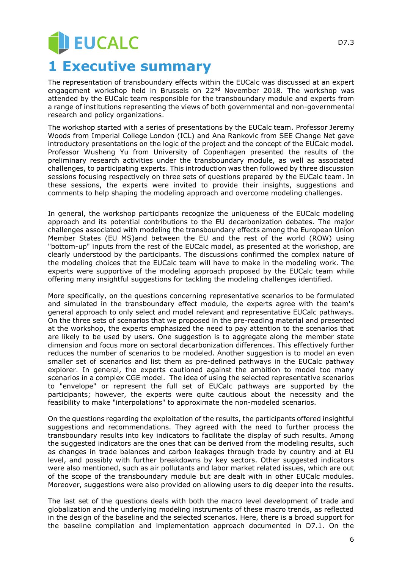## **JEUCALC 1 Executive summary**

The representation of transboundary effects within the EUCalc was discussed at an expert engagement workshop held in Brussels on 22<sup>nd</sup> November 2018. The workshop was attended by the EUCalc team responsible for the transboundary module and experts from a range of institutions representing the views of both governmental and non-governmental research and policy organizations.

The workshop started with a series of presentations by the EUCalc team. Professor Jeremy Woods from Imperial College London (ICL) and Ana Rankovic from SEE Change Net gave introductory presentations on the logic of the project and the concept of the EUCalc model. Professor Wusheng Yu from University of Copenhagen presented the results of the preliminary research activities under the transboundary module, as well as associated challenges, to participating experts. This introduction was then followed by three discussion sessions focusing respectively on three sets of questions prepared by the EUCalc team. In these sessions, the experts were invited to provide their insights, suggestions and comments to help shaping the modeling approach and overcome modeling challenges.

In general, the workshop participants recognize the uniqueness of the EUCalc modeling approach and its potential contributions to the EU decarbonization debates. The major challenges associated with modeling the transboundary effects among the European Union Member States (EU MS)and between the EU and the rest of the world (ROW) using "bottom-up" inputs from the rest of the EUCalc model, as presented at the workshop, are clearly understood by the participants. The discussions confirmed the complex nature of the modeling choices that the EUCalc team will have to make in the modeling work. The experts were supportive of the modeling approach proposed by the EUCalc team while offering many insightful suggestions for tackling the modeling challenges identified.

More specifically, on the questions concerning representative scenarios to be formulated and simulated in the transboundary effect module, the experts agree with the team's general approach to only select and model relevant and representative EUCalc pathways. On the three sets of scenarios that we proposed in the pre-reading material and presented at the workshop, the experts emphasized the need to pay attention to the scenarios that are likely to be used by users. One suggestion is to aggregate along the member state dimension and focus more on sectoral decarbonization differences. This effectively further reduces the number of scenarios to be modeled. Another suggestion is to model an even smaller set of scenarios and list them as pre-defined pathways in the EUCalc pathway explorer. In general, the experts cautioned against the ambition to model too many scenarios in a complex CGE model. The idea of using the selected representative scenarios to "envelope" or represent the full set of EUCalc pathways are supported by the participants; however, the experts were quite cautious about the necessity and the feasibility to make "interpolations" to approximate the non-modeled scenarios.

On the questions regarding the exploitation of the results, the participants offered insightful suggestions and recommendations. They agreed with the need to further process the transboundary results into key indicators to facilitate the display of such results. Among the suggested indicators are the ones that can be derived from the modeling results, such as changes in trade balances and carbon leakages through trade by country and at EU level, and possibly with further breakdowns by key sectors. Other suggested indicators were also mentioned, such as air pollutants and labor market related issues, which are out of the scope of the transboundary module but are dealt with in other EUCalc modules. Moreover, suggestions were also provided on allowing users to dig deeper into the results.

The last set of the questions deals with both the macro level development of trade and globalization and the underlying modeling instruments of these macro trends, as reflected in the design of the baseline and the selected scenarios. Here, there is a broad support for the baseline compilation and implementation approach documented in D7.1. On the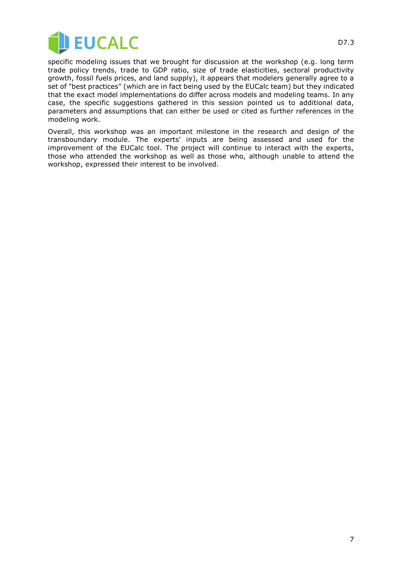

specific modeling issues that we brought for discussion at the workshop (e.g. long term trade policy trends, trade to GDP ratio, size of trade elasticities, sectoral productivity growth, fossil fuels prices, and land supply), it appears that modelers generally agree to a set of "best practices" (which are in fact being used by the EUCalc team) but they indicated that the exact model implementations do differ across models and modeling teams. In any case, the specific suggestions gathered in this session pointed us to additional data, parameters and assumptions that can either be used or cited as further references in the modeling work.

Overall, this workshop was an important milestone in the research and design of the transboundary module. The experts' inputs are being assessed and used for the improvement of the EUCalc tool. The project will continue to interact with the experts, those who attended the workshop as well as those who, although unable to attend the workshop, expressed their interest to be involved.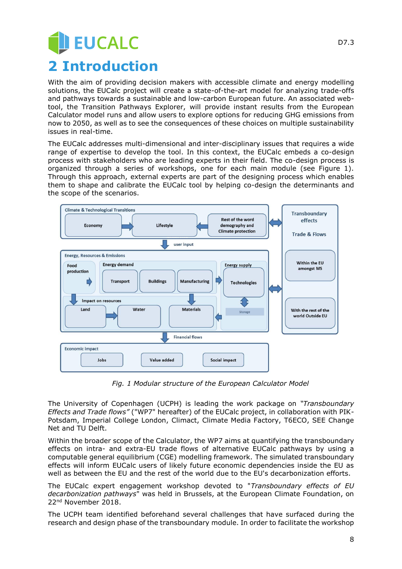# **EUCALC 2 Introduction**

With the aim of providing decision makers with accessible climate and energy modelling solutions, the EUCalc project will create a state-of-the-art model for analyzing trade-offs and pathways towards a sustainable and low-carbon European future. An associated webtool, the Transition Pathways Explorer, will provide instant results from the European Calculator model runs and allow users to explore options for reducing GHG emissions from now to 2050, as well as to see the consequences of these choices on multiple sustainability issues in real-time.

The EUCalc addresses multi-dimensional and inter-disciplinary issues that requires a wide range of expertise to develop the tool. In this context, the EUCalc embeds a co-design process with stakeholders who are leading experts in their field. The co-design process is organized through a series of workshops, one for each main module (see Figure 1). Through this approach, external experts are part of the designing process which enables them to shape and calibrate the EUCalc tool by helping co-design the determinants and the scope of the scenarios.



*Fig. 1 Modular structure of the European Calculator Model*

The University of Copenhagen (UCPH) is leading the work package on *"Transboundary Effects and Trade flows"* ("WP7" hereafter) of the EUCalc project, in collaboration with PIK-Potsdam, Imperial College London, Climact, Climate Media Factory, T6ECO, SEE Change Net and TU Delft.

Within the broader scope of the Calculator, the WP7 aims at quantifying the transboundary effects on intra- and extra-EU trade flows of alternative EUCalc pathways by using a computable general equilibrium (CGE) modelling framework. The simulated transboundary effects will inform EUCalc users of likely future economic dependencies inside the EU as well as between the EU and the rest of the world due to the EU's decarbonization efforts.

The EUCalc expert engagement workshop devoted to "*Transboundary effects of EU decarbonization pathways*" was held in Brussels, at the European Climate Foundation, on 22nd November 2018.

The UCPH team identified beforehand several challenges that have surfaced during the research and design phase of the transboundary module. In order to facilitate the workshop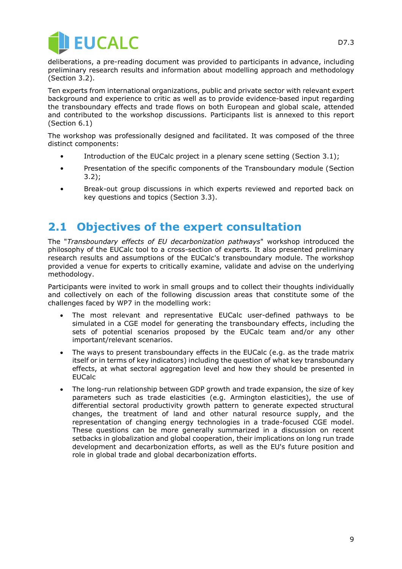

deliberations, a pre-reading document was provided to participants in advance, including preliminary research results and information about modelling approach and methodology (Section 3.2).

Ten experts from international organizations, public and private sector with relevant expert background and experience to critic as well as to provide evidence-based input regarding the transboundary effects and trade flows on both European and global scale, attended and contributed to the workshop discussions. Participants list is annexed to this report (Section 6.1)

The workshop was professionally designed and facilitated. It was composed of the three distinct components:

- Introduction of the EUCalc project in a plenary scene setting (Section 3.1);
- Presentation of the specific components of the Transboundary module (Section 3.2);
- Break-out group discussions in which experts reviewed and reported back on key questions and topics (Section 3.3).

#### **2.1 Objectives of the expert consultation**

The "*Transboundary effects of EU decarbonization pathways*" workshop introduced the philosophy of the EUCalc tool to a cross-section of experts. It also presented preliminary research results and assumptions of the EUCalc's transboundary module. The workshop provided a venue for experts to critically examine, validate and advise on the underlying methodology.

Participants were invited to work in small groups and to collect their thoughts individually and collectively on each of the following discussion areas that constitute some of the challenges faced by WP7 in the modelling work:

- The most relevant and representative EUCalc user-defined pathways to be simulated in a CGE model for generating the transboundary effects, including the sets of potential scenarios proposed by the EUCalc team and/or any other important/relevant scenarios.
- The ways to present transboundary effects in the EUCalc (e.g. as the trade matrix itself or in terms of key indicators) including the question of what key transboundary effects, at what sectoral aggregation level and how they should be presented in EUCalc
- The long-run relationship between GDP growth and trade expansion, the size of key parameters such as trade elasticities (e.g. Armington elasticities), the use of differential sectoral productivity growth pattern to generate expected structural changes, the treatment of land and other natural resource supply, and the representation of changing energy technologies in a trade-focused CGE model. These questions can be more generally summarized in a discussion on recent setbacks in globalization and global cooperation, their implications on long run trade development and decarbonization efforts, as well as the EU's future position and role in global trade and global decarbonization efforts.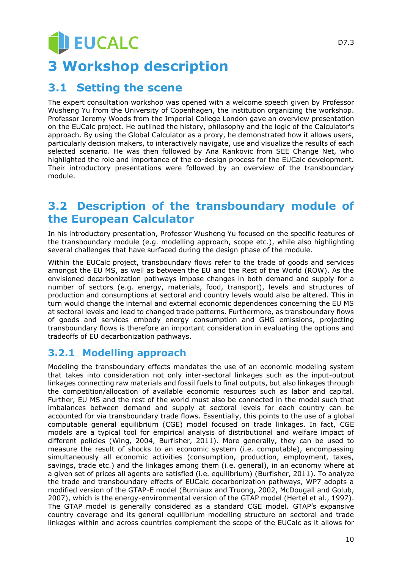# **U EUCALC 3 Workshop description**

#### **3.1 Setting the scene**

The expert consultation workshop was opened with a welcome speech given by Professor Wusheng Yu from the University of Copenhagen, the institution organizing the workshop. Professor Jeremy Woods from the Imperial College London gave an overview presentation on the EUCalc project. He outlined the history, philosophy and the logic of the Calculator's approach. By using the Global Calculator as a proxy, he demonstrated how it allows users, particularly decision makers, to interactively navigate, use and visualize the results of each selected scenario. He was then followed by Ana Rankovic from SEE Change Net, who highlighted the role and importance of the co-design process for the EUCalc development. Their introductory presentations were followed by an overview of the transboundary module.

### **3.2 Description of the transboundary module of the European Calculator**

In his introductory presentation, Professor Wusheng Yu focused on the specific features of the transboundary module (e.g. modelling approach, scope etc.), while also highlighting several challenges that have surfaced during the design phase of the module.

Within the EUCalc project, transboundary flows refer to the trade of goods and services amongst the EU MS, as well as between the EU and the Rest of the World (ROW). As the envisioned decarbonization pathways impose changes in both demand and supply for a number of sectors (e.g. energy, materials, food, transport), levels and structures of production and consumptions at sectoral and country levels would also be altered. This in turn would change the internal and external economic dependences concerning the EU MS at sectoral levels and lead to changed trade patterns. Furthermore, as transboundary flows of goods and services embody energy consumption and GHG emissions, projecting transboundary flows is therefore an important consideration in evaluating the options and tradeoffs of EU decarbonization pathways.

#### **3.2.1 Modelling approach**

Modeling the transboundary effects mandates the use of an economic modeling system that takes into consideration not only inter-sectoral linkages such as the input-output linkages connecting raw materials and fossil fuels to final outputs, but also linkages through the competition/allocation of available economic resources such as labor and capital. Further, EU MS and the rest of the world must also be connected in the model such that imbalances between demand and supply at sectoral levels for each country can be accounted for via transboundary trade flows. Essentially, this points to the use of a global computable general equilibrium (CGE) model focused on trade linkages. In fact, CGE models are a typical tool for empirical analysis of distributional and welfare impact of different policies (Wing, 2004, Burfisher, 2011). More generally, they can be used to measure the result of shocks to an economic system (i.e. computable), encompassing simultaneously all economic activities (consumption, production, employment, taxes, savings, trade etc.) and the linkages among them (i.e. general), in an economy where at a given set of prices all agents are satisfied (i.e. equilibrium) (Burfisher, 2011). To analyze the trade and transboundary effects of EUCalc decarbonization pathways, WP7 adopts a modified version of the GTAP-E model (Burniaux and Truong, 2002, McDougall and Golub, 2007), which is the energy-environmental version of the GTAP model (Hertel et al., 1997). The GTAP model is generally considered as a standard CGE model. GTAP's expansive country coverage and its general equilibrium modelling structure on sectoral and trade linkages within and across countries complement the scope of the EUCalc as it allows for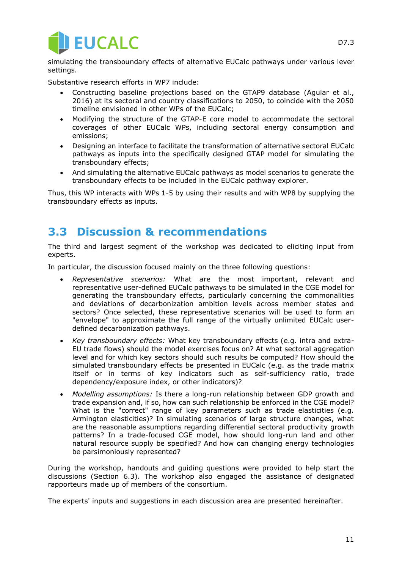

simulating the transboundary effects of alternative EUCalc pathways under various lever settings.

Substantive research efforts in WP7 include:

- Constructing baseline projections based on the GTAP9 database (Aguiar et al., 2016) at its sectoral and country classifications to 2050, to coincide with the 2050 timeline envisioned in other WPs of the EUCalc;
- Modifying the structure of the GTAP-E core model to accommodate the sectoral coverages of other EUCalc WPs, including sectoral energy consumption and emissions;
- Designing an interface to facilitate the transformation of alternative sectoral EUCalc pathways as inputs into the specifically designed GTAP model for simulating the transboundary effects;
- And simulating the alternative EUCalc pathways as model scenarios to generate the transboundary effects to be included in the EUCalc pathway explorer.

Thus, this WP interacts with WPs 1-5 by using their results and with WP8 by supplying the transboundary effects as inputs.

#### **3.3 Discussion & recommendations**

The third and largest segment of the workshop was dedicated to eliciting input from experts.

In particular, the discussion focused mainly on the three following questions:

- *Representative scenarios:* What are the most important, relevant and representative user-defined EUCalc pathways to be simulated in the CGE model for generating the transboundary effects, particularly concerning the commonalities and deviations of decarbonization ambition levels across member states and sectors? Once selected, these representative scenarios will be used to form an "envelope" to approximate the full range of the virtually unlimited EUCalc userdefined decarbonization pathways.
- *Key transboundary effects:* What key transboundary effects (e.g. intra and extra-EU trade flows) should the model exercises focus on? At what sectoral aggregation level and for which key sectors should such results be computed? How should the simulated transboundary effects be presented in EUCalc (e.g. as the trade matrix itself or in terms of key indicators such as self-sufficiency ratio, trade dependency/exposure index, or other indicators)?
- *Modelling assumptions:* Is there a long-run relationship between GDP growth and trade expansion and, if so, how can such relationship be enforced in the CGE model? What is the "correct" range of key parameters such as trade elasticities (e.g. Armington elasticities)? In simulating scenarios of large structure changes, what are the reasonable assumptions regarding differential sectoral productivity growth patterns? In a trade-focused CGE model, how should long-run land and other natural resource supply be specified? And how can changing energy technologies be parsimoniously represented?

During the workshop, handouts and guiding questions were provided to help start the discussions (Section 6.3). The workshop also engaged the assistance of designated rapporteurs made up of members of the consortium.

The experts' inputs and suggestions in each discussion area are presented hereinafter.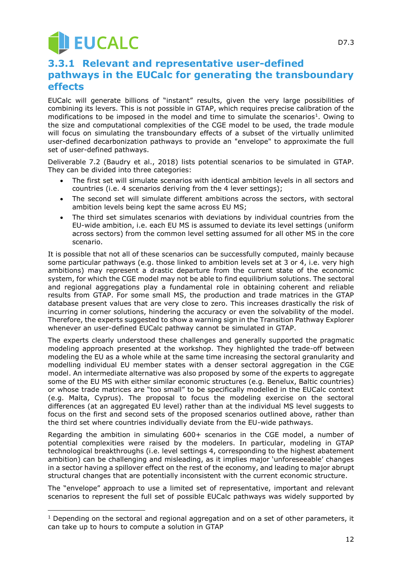# **JEUCALC**

-

#### **3.3.1 Relevant and representative user-defined pathways in the EUCalc for generating the transboundary effects**

EUCalc will generate billions of "instant" results, given the very large possibilities of combining its levers. This is not possible in GTAP, which requires precise calibration of the modifications to be imposed in the model and time to simulate the scenarios<sup>1</sup>. Owing to the size and computational complexities of the CGE model to be used, the trade module will focus on simulating the transboundary effects of a subset of the virtually unlimited user-defined decarbonization pathways to provide an "envelope" to approximate the full set of user-defined pathways.

Deliverable 7.2 (Baudry et al., 2018) lists potential scenarios to be simulated in GTAP. They can be divided into three categories:

- The first set will simulate scenarios with identical ambition levels in all sectors and countries (i.e. 4 scenarios deriving from the 4 lever settings);
- The second set will simulate different ambitions across the sectors, with sectoral ambition levels being kept the same across EU MS;
- The third set simulates scenarios with deviations by individual countries from the EU-wide ambition, i.e. each EU MS is assumed to deviate its level settings (uniform across sectors) from the common level setting assumed for all other MS in the core scenario.

It is possible that not all of these scenarios can be successfully computed, mainly because some particular pathways (e.g. those linked to ambition levels set at 3 or 4, i.e. very high ambitions) may represent a drastic departure from the current state of the economic system, for which the CGE model may not be able to find equilibrium solutions. The sectoral and regional aggregations play a fundamental role in obtaining coherent and reliable results from GTAP. For some small MS, the production and trade matrices in the GTAP database present values that are very close to zero. This increases drastically the risk of incurring in corner solutions, hindering the accuracy or even the solvability of the model. Therefore, the experts suggested to show a warning sign in the Transition Pathway Explorer whenever an user-defined EUCalc pathway cannot be simulated in GTAP.

The experts clearly understood these challenges and generally supported the pragmatic modeling approach presented at the workshop. They highlighted the trade-off between modeling the EU as a whole while at the same time increasing the sectoral granularity and modelling individual EU member states with a denser sectoral aggregation in the CGE model. An intermediate alternative was also proposed by some of the experts to aggregate some of the EU MS with either similar economic structures (e.g. Benelux, Baltic countries) or whose trade matrices are "too small" to be specifically modelled in the EUCalc context (e.g. Malta, Cyprus). The proposal to focus the modeling exercise on the sectoral differences (at an aggregated EU level) rather than at the individual MS level suggests to focus on the first and second sets of the proposed scenarios outlined above, rather than the third set where countries individually deviate from the EU-wide pathways.

Regarding the ambition in simulating 600+ scenarios in the CGE model, a number of potential complexities were raised by the modelers. In particular, modeling in GTAP technological breakthroughs (i.e. level settings 4, corresponding to the highest abatement ambition) can be challenging and misleading, as it implies major 'unforeseeable' changes in a sector having a spillover effect on the rest of the economy, and leading to major abrupt structural changes that are potentially inconsistent with the current economic structure.

The "envelope" approach to use a limited set of representative, important and relevant scenarios to represent the full set of possible EUCalc pathways was widely supported by

<sup>&</sup>lt;sup>1</sup> Depending on the sectoral and regional aggregation and on a set of other parameters, it can take up to hours to compute a solution in GTAP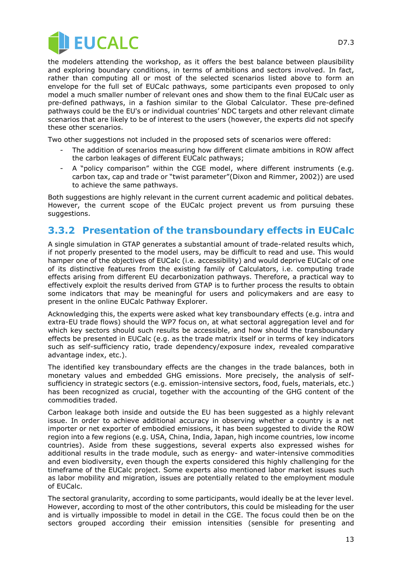

D7.3

the modelers attending the workshop, as it offers the best balance between plausibility and exploring boundary conditions, in terms of ambitions and sectors involved. In fact, rather than computing all or most of the selected scenarios listed above to form an envelope for the full set of EUCalc pathways, some participants even proposed to only model a much smaller number of relevant ones and show them to the final EUCalc user as pre-defined pathways, in a fashion similar to the Global Calculator. These pre-defined pathways could be the EU's or individual countries' NDC targets and other relevant climate scenarios that are likely to be of interest to the users (however, the experts did not specify these other scenarios.

Two other suggestions not included in the proposed sets of scenarios were offered:

- The addition of scenarios measuring how different climate ambitions in ROW affect the carbon leakages of different EUCalc pathways;
- A "policy comparison" within the CGE model, where different instruments (e.g. carbon tax, cap and trade or "twist parameter"(Dixon and Rimmer, 2002)) are used to achieve the same pathways.

Both suggestions are highly relevant in the current current academic and political debates. However, the current scope of the EUCalc project prevent us from pursuing these suggestions.

#### **3.3.2 Presentation of the transboundary effects in EUCalc**

A single simulation in GTAP generates a substantial amount of trade-related results which, if not properly presented to the model users, may be difficult to read and use. This would hamper one of the objectives of EUCalc (i.e. accessibility) and would deprive EUCalc of one of its distinctive features from the existing family of Calculators, i.e. computing trade effects arising from different EU decarbonization pathways. Therefore, a practical way to effectively exploit the results derived from GTAP is to further process the results to obtain some indicators that may be meaningful for users and policymakers and are easy to present in the online EUCalc Pathway Explorer.

Acknowledging this, the experts were asked what key transboundary effects (e.g. intra and extra-EU trade flows) should the WP7 focus on, at what sectoral aggregation level and for which key sectors should such results be accessible, and how should the transboundary effects be presented in EUCalc (e.g. as the trade matrix itself or in terms of key indicators such as self-sufficiency ratio, trade dependency/exposure index, revealed comparative advantage index, etc.).

The identified key transboundary effects are the changes in the trade balances, both in monetary values and embedded GHG emissions. More precisely, the analysis of selfsufficiency in strategic sectors (e.g. emission-intensive sectors, food, fuels, materials, etc.) has been recognized as crucial, together with the accounting of the GHG content of the commodities traded.

Carbon leakage both inside and outside the EU has been suggested as a highly relevant issue. In order to achieve additional accuracy in observing whether a country is a net importer or net exporter of embodied emissions, it has been suggested to divide the ROW region into a few regions (e.g. USA, China, India, Japan, high income countries, low income countries). Aside from these suggestions, several experts also expressed wishes for additional results in the trade module, such as energy- and water-intensive commodities and even biodiversity, even though the experts considered this highly challenging for the timeframe of the EUCalc project. Some experts also mentioned labor market issues such as labor mobility and migration, issues are potentially related to the employment module of EUCalc.

The sectoral granularity, according to some participants, would ideally be at the lever level. However, according to most of the other contributors, this could be misleading for the user and is virtually impossible to model in detail in the CGE. The focus could then be on the sectors grouped according their emission intensities (sensible for presenting and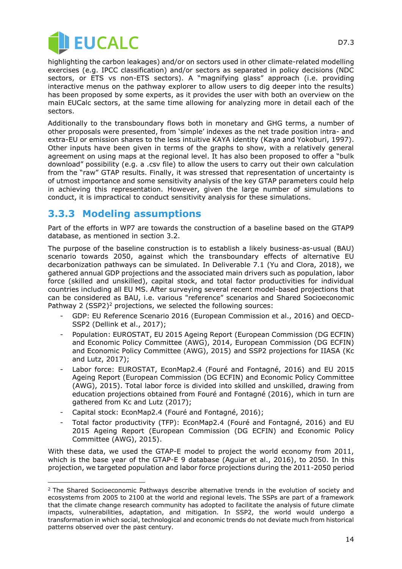

highlighting the carbon leakages) and/or on sectors used in other climate-related modelling exercises (e.g. IPCC classification) and/or sectors as separated in policy decisions (NDC sectors, or ETS vs non-ETS sectors). A "magnifying glass" approach (i.e. providing interactive menus on the pathway explorer to allow users to dig deeper into the results) has been proposed by some experts, as it provides the user with both an overview on the main EUCalc sectors, at the same time allowing for analyzing more in detail each of the sectors.

Additionally to the transboundary flows both in monetary and GHG terms, a number of other proposals were presented, from 'simple' indexes as the net trade position intra- and extra-EU or emission shares to the less intuitive KAYA identity (Kaya and Yokoburi, 1997). Other inputs have been given in terms of the graphs to show, with a relatively general agreement on using maps at the regional level. It has also been proposed to offer a "bulk download" possibility (e.g. a .csv file) to allow the users to carry out their own calculation from the "raw" GTAP results. Finally, it was stressed that representation of uncertainty is of utmost importance and some sensitivity analysis of the key GTAP parameters could help in achieving this representation. However, given the large number of simulations to conduct, it is impractical to conduct sensitivity analysis for these simulations.

#### **3.3.3 Modeling assumptions**

Part of the efforts in WP7 are towards the construction of a baseline based on the GTAP9 database, as mentioned in section 3.2.

The purpose of the baseline construction is to establish a likely business-as-usual (BAU) scenario towards 2050, against which the transboundary effects of alternative EU decarbonization pathways can be simulated. In Deliverable 7.1 (Yu and Clora, 2018), we gathered annual GDP projections and the associated main drivers such as population, labor force (skilled and unskilled), capital stock, and total factor productivities for individual countries including all EU MS. After surveying several recent model-based projections that can be considered as BAU, i.e. various "reference" scenarios and Shared Socioeconomic Pathway 2 (SSP2)<sup>2</sup> projections, we selected the following sources:

- GDP: EU Reference Scenario 2016 (European Commission et al., 2016) and OECD-SSP2 (Dellink et al., 2017);
- Population: EUROSTAT, EU 2015 Ageing Report (European Commission (DG ECFIN) and Economic Policy Committee (AWG), 2014, European Commission (DG ECFIN) and Economic Policy Committee (AWG), 2015) and SSP2 projections for IIASA (Kc and Lutz, 2017);
- Labor force: EUROSTAT, EconMap2.4 (Fouré and Fontagné, 2016) and EU 2015 Ageing Report (European Commission (DG ECFIN) and Economic Policy Committee (AWG), 2015). Total labor force is divided into skilled and unskilled, drawing from education projections obtained from Fouré and Fontagné (2016), which in turn are gathered from Kc and Lutz (2017);
- Capital stock: EconMap2.4 (Fouré and Fontagné, 2016);

-

- Total factor productivity (TFP): EconMap2.4 (Fouré and Fontagné, 2016) and EU 2015 Ageing Report (European Commission (DG ECFIN) and Economic Policy Committee (AWG), 2015).

With these data, we used the GTAP-E model to project the world economy from 2011, which is the base year of the GTAP-E 9 database (Aguiar et al., 2016), to 2050. In this projection, we targeted population and labor force projections during the 2011-2050 period

<sup>&</sup>lt;sup>2</sup> The Shared Socioeconomic Pathways describe alternative trends in the evolution of society and ecosystems from 2005 to 2100 at the world and regional levels. The SSPs are part of a framework that the climate change research community has adopted to facilitate the analysis of future climate impacts, vulnerabilities, adaptation, and mitigation. In SSP2, the world would undergo a transformation in which social, technological and economic trends do not deviate much from historical patterns observed over the past century.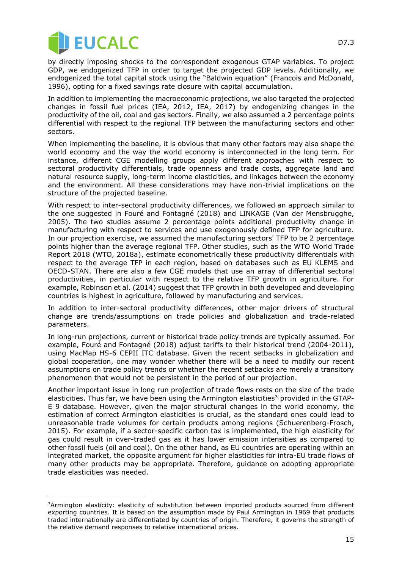

j

by directly imposing shocks to the correspondent exogenous GTAP variables. To project GDP, we endogenized TFP in order to target the projected GDP levels. Additionally, we endogenized the total capital stock using the "Baldwin equation" (Francois and McDonald, 1996), opting for a fixed savings rate closure with capital accumulation.

In addition to implementing the macroeconomic projections, we also targeted the projected changes in fossil fuel prices (IEA, 2012, IEA, 2017) by endogenizing changes in the productivity of the oil, coal and gas sectors. Finally, we also assumed a 2 percentage points differential with respect to the regional TFP between the manufacturing sectors and other sectors.

When implementing the baseline, it is obvious that many other factors may also shape the world economy and the way the world economy is interconnected in the long term. For instance, different CGE modelling groups apply different approaches with respect to sectoral productivity differentials, trade openness and trade costs, aggregate land and natural resource supply, long-term income elasticities, and linkages between the economy and the environment. All these considerations may have non-trivial implications on the structure of the projected baseline.

With respect to inter-sectoral productivity differences, we followed an approach similar to the one suggested in Fouré and Fontagné (2018) and LINKAGE (Van der Mensbrugghe, 2005). The two studies assume 2 percentage points additional productivity change in manufacturing with respect to services and use exogenously defined TFP for agriculture. In our projection exercise, we assumed the manufacturing sectors' TFP to be 2 percentage points higher than the average regional TFP. Other studies, such as the WTO World Trade Report 2018 (WTO, 2018a), estimate econometrically these productivity differentials with respect to the average TFP in each region, based on databases such as EU KLEMS and OECD-STAN. There are also a few CGE models that use an array of differential sectoral productivities, in particular with respect to the relative TFP growth in agriculture. For example, Robinson et al. (2014) suggest that TFP growth in both developed and developing countries is highest in agriculture, followed by manufacturing and services.

In addition to inter-sectoral productivity differences, other major drivers of structural change are trends/assumptions on trade policies and globalization and trade-related parameters.

In long-run projections, current or historical trade policy trends are typically assumed. For example, Fouré and Fontagné (2018) adjust tariffs to their historical trend (2004-2011), using MacMap HS-6 CEPII ITC database. Given the recent setbacks in globalization and global cooperation, one may wonder whether there will be a need to modify our recent assumptions on trade policy trends or whether the recent setbacks are merely a transitory phenomenon that would not be persistent in the period of our projection.

Another important issue in long run projection of trade flows rests on the size of the trade elasticities. Thus far, we have been using the Armington elasticities<sup>3</sup> provided in the GTAP-E 9 database. However, given the major structural changes in the world economy, the estimation of correct Armington elasticities is crucial, as the standard ones could lead to unreasonable trade volumes for certain products among regions (Schuerenberg-Frosch, 2015). For example, if a sector-specific carbon tax is implemented, the high elasticity for gas could result in over-traded gas as it has lower emission intensities as compared to other fossil fuels (oil and coal). On the other hand, as EU countries are operating within an integrated market, the opposite argument for higher elasticities for intra-EU trade flows of many other products may be appropriate. Therefore, guidance on adopting appropriate trade elasticities was needed.

<sup>&</sup>lt;sup>3</sup>Armington elasticity: elasticity of substitution between imported products sourced from different exporting countries. It is based on the assumption made by Paul Armington in 1969 that products traded internationally are differentiated by countries of origin. Therefore, it governs the strength of the relative demand responses to relative international prices.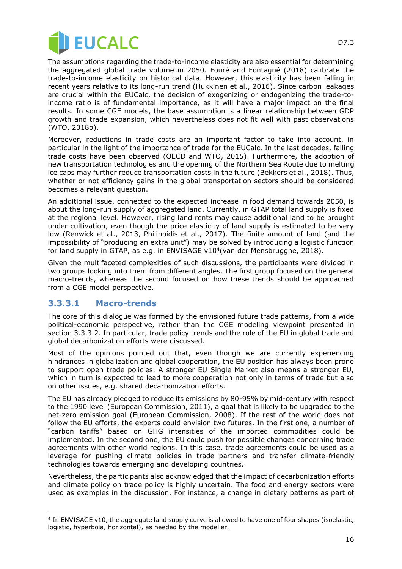

The assumptions regarding the trade-to-income elasticity are also essential for determining the aggregated global trade volume in 2050. Fouré and Fontagné (2018) calibrate the trade-to-income elasticity on historical data. However, this elasticity has been falling in recent years relative to its long-run trend (Hukkinen et al., 2016). Since carbon leakages are crucial within the EUCalc, the decision of exogenizing or endogenizing the trade-toincome ratio is of fundamental importance, as it will have a major impact on the final results. In some CGE models, the base assumption is a linear relationship between GDP growth and trade expansion, which nevertheless does not fit well with past observations (WTO, 2018b).

Moreover, reductions in trade costs are an important factor to take into account, in particular in the light of the importance of trade for the EUCalc. In the last decades, falling trade costs have been observed (OECD and WTO, 2015). Furthermore, the adoption of new transportation technologies and the opening of the Northern Sea Route due to melting ice caps may further reduce transportation costs in the future (Bekkers et al., 2018). Thus, whether or not efficiency gains in the global transportation sectors should be considered becomes a relevant question.

An additional issue, connected to the expected increase in food demand towards 2050, is about the long-run supply of aggregated land. Currently, in GTAP total land supply is fixed at the regional level. However, rising land rents may cause additional land to be brought under cultivation, even though the price elasticity of land supply is estimated to be very low (Renwick et al., 2013, Philippidis et al., 2017). The finite amount of land (and the impossibility of "producing an extra unit") may be solved by introducing a logistic function for land supply in GTAP, as e.g. in ENVISAGE v10<sup>4</sup>(van der Mensbrugghe, 2018).

Given the multifaceted complexities of such discussions, the participants were divided in two groups looking into them from different angles. The first group focused on the general macro-trends, whereas the second focused on how these trends should be approached from a CGE model perspective.

#### **3.3.3.1 Macro-trends**

 $\overline{a}$ 

The core of this dialogue was formed by the envisioned future trade patterns, from a wide political-economic perspective, rather than the CGE modeling viewpoint presented in section 3.3.3.2. In particular, trade policy trends and the role of the EU in global trade and global decarbonization efforts were discussed.

Most of the opinions pointed out that, even though we are currently experiencing hindrances in globalization and global cooperation, the EU position has always been prone to support open trade policies. A stronger EU Single Market also means a stronger EU, which in turn is expected to lead to more cooperation not only in terms of trade but also on other issues, e.g. shared decarbonization efforts.

The EU has already pledged to reduce its emissions by 80-95% by mid-century with respect to the 1990 level (European Commission, 2011), a goal that is likely to be upgraded to the net-zero emission goal (European Commission, 2008). If the rest of the world does not follow the EU efforts, the experts could envision two futures. In the first one, a number of "carbon tariffs" based on GHG intensities of the imported commodities could be implemented. In the second one, the EU could push for possible changes concerning trade agreements with other world regions. In this case, trade agreements could be used as a leverage for pushing climate policies in trade partners and transfer climate-friendly technologies towards emerging and developing countries.

Nevertheless, the participants also acknowledged that the impact of decarbonization efforts and climate policy on trade policy is highly uncertain. The food and energy sectors were used as examples in the discussion. For instance, a change in dietary patterns as part of

<sup>4</sup> In ENVISAGE v10, the aggregate land supply curve is allowed to have one of four shapes (isoelastic, logistic, hyperbola, horizontal), as needed by the modeller.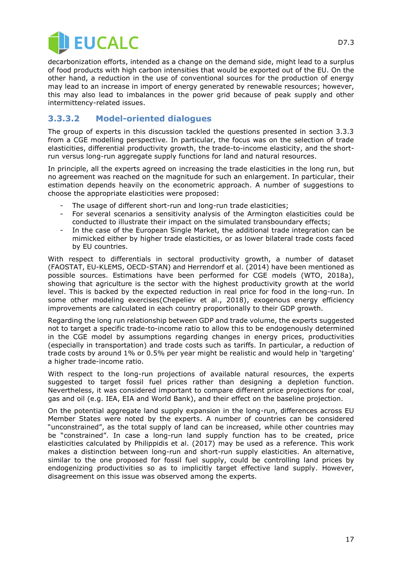

decarbonization efforts, intended as a change on the demand side, might lead to a surplus of food products with high carbon intensities that would be exported out of the EU. On the other hand, a reduction in the use of conventional sources for the production of energy may lead to an increase in import of energy generated by renewable resources; however, this may also lead to imbalances in the power grid because of peak supply and other intermittency-related issues.

#### **3.3.3.2 Model-oriented dialogues**

The group of experts in this discussion tackled the questions presented in section 3.3.3 from a CGE modelling perspective. In particular, the focus was on the selection of trade elasticities, differential productivity growth, the trade-to-income elasticity, and the shortrun versus long-run aggregate supply functions for land and natural resources.

In principle, all the experts agreed on increasing the trade elasticities in the long run, but no agreement was reached on the magnitude for such an enlargement. In particular, their estimation depends heavily on the econometric approach. A number of suggestions to choose the appropriate elasticities were proposed:

- The usage of different short-run and long-run trade elasticities;
- For several scenarios a sensitivity analysis of the Armington elasticities could be conducted to illustrate their impact on the simulated transboundary effects;
- In the case of the European Single Market, the additional trade integration can be mimicked either by higher trade elasticities, or as lower bilateral trade costs faced by EU countries.

With respect to differentials in sectoral productivity growth, a number of dataset (FAOSTAT, EU-KLEMS, OECD-STAN) and Herrendorf et al. (2014) have been mentioned as possible sources. Estimations have been performed for CGE models (WTO, 2018a), showing that agriculture is the sector with the highest productivity growth at the world level. This is backed by the expected reduction in real price for food in the long-run. In some other modeling exercises(Chepeliev et al., 2018), exogenous energy efficiency improvements are calculated in each country proportionally to their GDP growth.

Regarding the long run relationship between GDP and trade volume, the experts suggested not to target a specific trade-to-income ratio to allow this to be endogenously determined in the CGE model by assumptions regarding changes in energy prices, productivities (especially in transportation) and trade costs such as tariffs. In particular, a reduction of trade costs by around 1% or 0.5% per year might be realistic and would help in 'targeting' a higher trade-income ratio.

With respect to the long-run projections of available natural resources, the experts suggested to target fossil fuel prices rather than designing a depletion function. Nevertheless, it was considered important to compare different price projections for coal, gas and oil (e.g. IEA, EIA and World Bank), and their effect on the baseline projection.

On the potential aggregate land supply expansion in the long-run, differences across EU Member States were noted by the experts. A number of countries can be considered "unconstrained", as the total supply of land can be increased, while other countries may be "constrained". In case a long-run land supply function has to be created, price elasticities calculated by Philippidis et al. (2017) may be used as a reference. This work makes a distinction between long-run and short-run supply elasticities. An alternative, similar to the one proposed for fossil fuel supply, could be controlling land prices by endogenizing productivities so as to implicitly target effective land supply. However, disagreement on this issue was observed among the experts.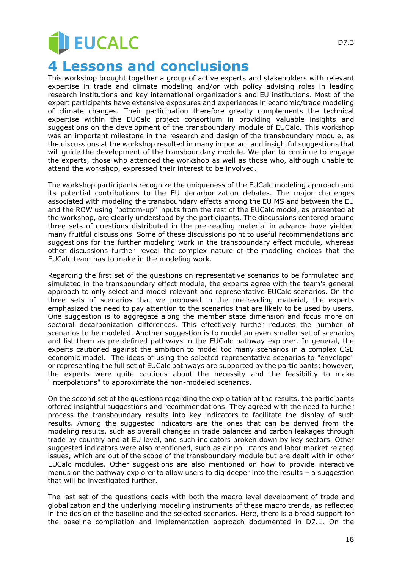# **EUCALC**

## **4 Lessons and conclusions**

This workshop brought together a group of active experts and stakeholders with relevant expertise in trade and climate modeling and/or with policy advising roles in leading research institutions and key international organizations and EU institutions. Most of the expert participants have extensive exposures and experiences in economic/trade modeling of climate changes. Their participation therefore greatly complements the technical expertise within the EUCalc project consortium in providing valuable insights and suggestions on the development of the transboundary module of EUCalc. This workshop was an important milestone in the research and design of the transboundary module, as the discussions at the workshop resulted in many important and insightful suggestions that will guide the development of the transboundary module. We plan to continue to engage the experts, those who attended the workshop as well as those who, although unable to attend the workshop, expressed their interest to be involved.

The workshop participants recognize the uniqueness of the EUCalc modeling approach and its potential contributions to the EU decarbonization debates. The major challenges associated with modeling the transboundary effects among the EU MS and between the EU and the ROW using "bottom-up" inputs from the rest of the EUCalc model, as presented at the workshop, are clearly understood by the participants. The discussions centered around three sets of questions distributed in the pre-reading material in advance have yielded many fruitful discussions. Some of these discussions point to useful recommendations and suggestions for the further modeling work in the transboundary effect module, whereas other discussions further reveal the complex nature of the modeling choices that the EUCalc team has to make in the modeling work.

Regarding the first set of the questions on representative scenarios to be formulated and simulated in the transboundary effect module, the experts agree with the team's general approach to only select and model relevant and representative EUCalc scenarios. On the three sets of scenarios that we proposed in the pre-reading material, the experts emphasized the need to pay attention to the scenarios that are likely to be used by users. One suggestion is to aggregate along the member state dimension and focus more on sectoral decarbonization differences. This effectively further reduces the number of scenarios to be modeled. Another suggestion is to model an even smaller set of scenarios and list them as pre-defined pathways in the EUCalc pathway explorer. In general, the experts cautioned against the ambition to model too many scenarios in a complex CGE economic model. The ideas of using the selected representative scenarios to "envelope" or representing the full set of EUCalc pathways are supported by the participants; however, the experts were quite cautious about the necessity and the feasibility to make "interpolations" to approximate the non-modeled scenarios.

On the second set of the questions regarding the exploitation of the results, the participants offered insightful suggestions and recommendations. They agreed with the need to further process the transboundary results into key indicators to facilitate the display of such results. Among the suggested indicators are the ones that can be derived from the modeling results, such as overall changes in trade balances and carbon leakages through trade by country and at EU level, and such indicators broken down by key sectors. Other suggested indicators were also mentioned, such as air pollutants and labor market related issues, which are out of the scope of the transboundary module but are dealt with in other EUCalc modules. Other suggestions are also mentioned on how to provide interactive menus on the pathway explorer to allow users to dig deeper into the results – a suggestion that will be investigated further.

The last set of the questions deals with both the macro level development of trade and globalization and the underlying modeling instruments of these macro trends, as reflected in the design of the baseline and the selected scenarios. Here, there is a broad support for the baseline compilation and implementation approach documented in D7.1. On the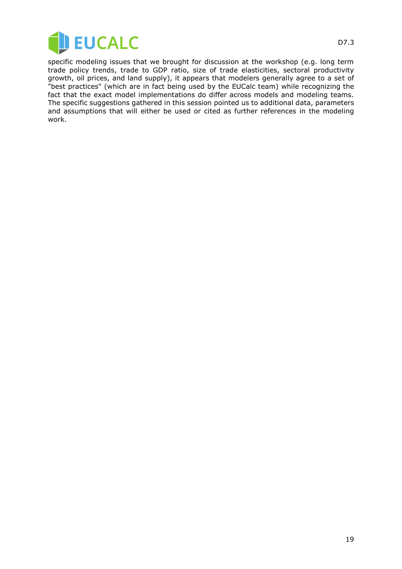

specific modeling issues that we brought for discussion at the workshop (e.g. long term trade policy trends, trade to GDP ratio, size of trade elasticities, sectoral productivity growth, oil prices, and land supply), it appears that modelers generally agree to a set of "best practices" (which are in fact being used by the EUCalc team) while recognizing the fact that the exact model implementations do differ across models and modeling teams. The specific suggestions gathered in this session pointed us to additional data, parameters and assumptions that will either be used or cited as further references in the modeling work.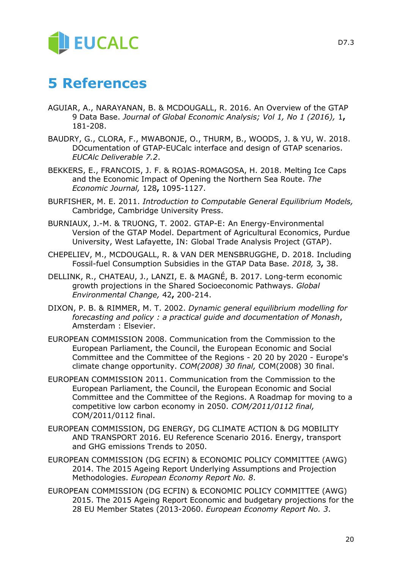## **5 References**

- AGUIAR, A., NARAYANAN, B. & MCDOUGALL, R. 2016. An Overview of the GTAP 9 Data Base. *Journal of Global Economic Analysis; Vol 1, No 1 (2016),* 1**,** 181-208.
- BAUDRY, G., CLORA, F., MWABONJE, O., THURM, B., WOODS, J. & YU, W. 2018. DOcumentation of GTAP-EUCalc interface and design of GTAP scenarios. *EUCAlc Deliverable 7.2*.
- BEKKERS, E., FRANCOIS, J. F. & ROJAS-ROMAGOSA, H. 2018. Melting Ice Caps and the Economic Impact of Opening the Northern Sea Route. *The Economic Journal,* 128**,** 1095-1127.
- BURFISHER, M. E. 2011. *Introduction to Computable General Equilibrium Models,*  Cambridge, Cambridge University Press.
- BURNIAUX, J.-M. & TRUONG, T. 2002. GTAP-E: An Energy-Environmental Version of the GTAP Model. Department of Agricultural Economics, Purdue University, West Lafayette, IN: Global Trade Analysis Project (GTAP).
- CHEPELIEV, M., MCDOUGALL, R. & VAN DER MENSBRUGGHE, D. 2018. Including Fossil-fuel Consumption Subsidies in the GTAP Data Base. *2018,* 3**,** 38.
- DELLINK, R., CHATEAU, J., LANZI, E. & MAGNÉ, B. 2017. Long-term economic growth projections in the Shared Socioeconomic Pathways. *Global Environmental Change,* 42**,** 200-214.
- DIXON, P. B. & RIMMER, M. T. 2002. *Dynamic general equilibrium modelling for forecasting and policy : a practical guide and documentation of Monash*, Amsterdam : Elsevier.
- EUROPEAN COMMISSION 2008. Communication from the Commission to the European Parliament, the Council, the European Economic and Social Committee and the Committee of the Regions - 20 20 by 2020 - Europe's climate change opportunity. *COM(2008) 30 final,* COM(2008) 30 final.
- EUROPEAN COMMISSION 2011. Communication from the Commission to the European Parliament, the Council, the European Economic and Social Committee and the Committee of the Regions. A Roadmap for moving to a competitive low carbon economy in 2050. *COM/2011/0112 final,* COM/2011/0112 final.
- EUROPEAN COMMISSION, DG ENERGY, DG CLIMATE ACTION & DG MOBILITY AND TRANSPORT 2016. EU Reference Scenario 2016. Energy, transport and GHG emissions Trends to 2050.
- EUROPEAN COMMISSION (DG ECFIN) & ECONOMIC POLICY COMMITTEE (AWG) 2014. The 2015 Ageing Report Underlying Assumptions and Projection Methodologies. *European Economy Report No. 8*.
- EUROPEAN COMMISSION (DG ECFIN) & ECONOMIC POLICY COMMITTEE (AWG) 2015. The 2015 Ageing Report Economic and budgetary projections for the 28 EU Member States (2013-2060. *European Economy Report No. 3*.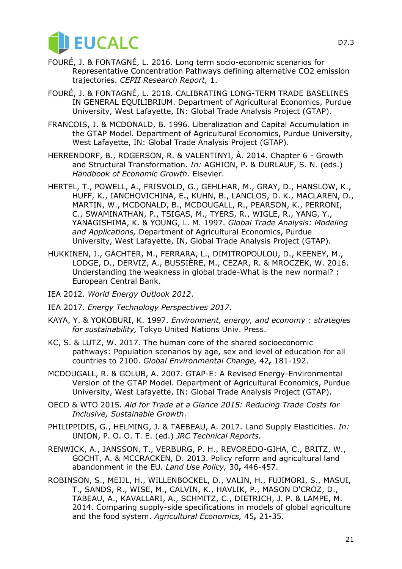

- FOURÉ, J. & FONTAGNÉ, L. 2016. Long term socio-economic scenarios for Representative Concentration Pathways defining alternative CO2 emission trajectories. *CEPII Research Report,* 1.
- FOURÉ, J. & FONTAGNÉ, L. 2018. CALIBRATING LONG-TERM TRADE BASELINES IN GENERAL EQUILIBRIUM. Department of Agricultural Economics, Purdue University, West Lafayette, IN: Global Trade Analysis Project (GTAP).
- FRANCOIS, J. & MCDONALD, B. 1996. Liberalization and Capital Accumulation in the GTAP Model. Department of Agricultural Economics, Purdue University, West Lafayette, IN: Global Trade Analysis Project (GTAP).
- HERRENDORF, B., ROGERSON, R. & VALENTINYI, Á. 2014. Chapter 6 Growth and Structural Transformation. *In:* AGHION, P. & DURLAUF, S. N. (eds.) *Handbook of Economic Growth.* Elsevier.
- HERTEL, T., POWELL, A., FRISVOLD, G., GEHLHAR, M., GRAY, D., HANSLOW, K., HUFF, K., IANCHOVICHINA, E., KUHN, B., LANCLOS, D. K., MACLAREN, D., MARTIN, W., MCDONALD, B., MCDOUGALL, R., PEARSON, K., PERRONI, C., SWAMINATHAN, P., TSIGAS, M., TYERS, R., WIGLE, R., YANG, Y., YANAGISHIMA, K. & YOUNG, L. M. 1997. *Global Trade Analysis: Modeling and Applications,* Department of Agricultural Economics, Purdue University, West Lafayette, IN, Global Trade Analysis Project (GTAP).
- HUKKINEN, J., GÄCHTER, M., FERRARA, L., DIMITROPOULOU, D., KEENEY, M., LODGE, D., DERVIZ, A., BUSSIÈRE, M., CEZAR, R. & MROCZEK, W. 2016. Understanding the weakness in global trade-What is the new normal? : European Central Bank.
- IEA 2012. *World Energy Outlook 2012*.
- IEA 2017. *Energy Technology Perspectives 2017*.
- KAYA, Y. & YOKOBURI, K. 1997. *Environment, energy, and economy : strategies for sustainability,* Tokyo United Nations Univ. Press.
- KC, S. & LUTZ, W. 2017. The human core of the shared socioeconomic pathways: Population scenarios by age, sex and level of education for all countries to 2100. *Global Environmental Change,* 42**,** 181-192.
- MCDOUGALL, R. & GOLUB, A. 2007. GTAP-E: A Revised Energy-Environmental Version of the GTAP Model. Department of Agricultural Economics, Purdue University, West Lafayette, IN: Global Trade Analysis Project (GTAP).
- OECD & WTO 2015. *Aid for Trade at a Glance 2015: Reducing Trade Costs for Inclusive, Sustainable Growth*.
- PHILIPPIDIS, G., HELMING, J. & TAEBEAU, A. 2017. Land Supply Elasticities. *In:* UNION, P. O. O. T. E. (ed.) *JRC Technical Reports.*
- RENWICK, A., JANSSON, T., VERBURG, P. H., REVOREDO-GIHA, C., BRITZ, W., GOCHT, A. & MCCRACKEN, D. 2013. Policy reform and agricultural land abandonment in the EU. *Land Use Policy,* 30**,** 446-457.
- ROBINSON, S., MEIJL, H., WILLENBOCKEL, D., VALIN, H., FUJIMORI, S., MASUI, T., SANDS, R., WISE, M., CALVIN, K., HAVLIK, P., MASON D'CROZ, D., TABEAU, A., KAVALLARI, A., SCHMITZ, C., DIETRICH, J. P. & LAMPE, M. 2014. Comparing supply-side specifications in models of global agriculture and the food system. *Agricultural Economics,* 45**,** 21-35.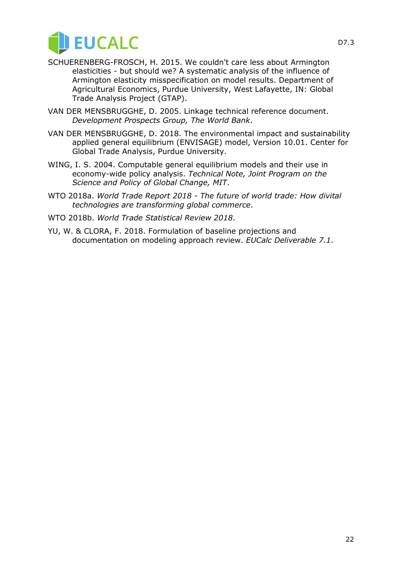

- SCHUERENBERG-FROSCH, H. 2015. We couldn't care less about Armington elasticities - but should we? A systematic analysis of the influence of Armington elasticity misspecification on model results. Department of Agricultural Economics, Purdue University, West Lafayette, IN: Global Trade Analysis Project (GTAP).
- VAN DER MENSBRUGGHE, D. 2005. Linkage technical reference document. *Development Prospects Group, The World Bank*.
- VAN DER MENSBRUGGHE, D. 2018. The environmental impact and sustainability applied general equilibrium (ENVISAGE) model, Version 10.01. Center for Global Trade Analysis, Purdue University.
- WING, I. S. 2004. Computable general equilibrium models and their use in economy-wide policy analysis. *Technical Note, Joint Program on the Science and Policy of Global Change, MIT*.
- WTO 2018a. *World Trade Report 2018 - The future of world trade: How divital technologies are transforming global commerce*.
- WTO 2018b. *World Trade Statistical Review 2018*.
- YU, W. & CLORA, F. 2018. Formulation of baseline projections and documentation on modeling approach review. *EUCalc Deliverable 7.1*.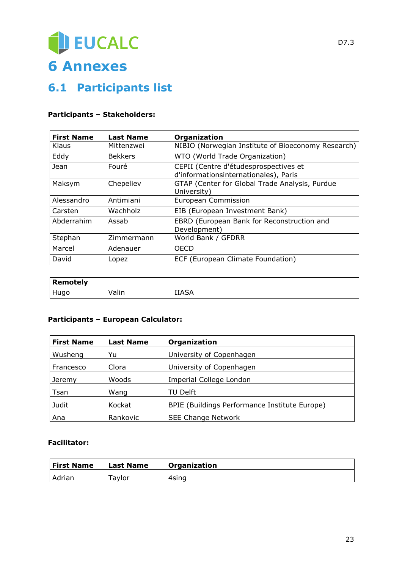# EUCALC **6 Annexes**

## **6.1 Participants list**

#### **Participants – Stakeholders:**

| <b>First Name</b> | <b>Last Name</b> | Organization                                                                   |
|-------------------|------------------|--------------------------------------------------------------------------------|
| Klaus             | Mittenzwei       | NIBIO (Norwegian Institute of Bioeconomy Research)                             |
| Eddy              | <b>Bekkers</b>   | WTO (World Trade Organization)                                                 |
| Jean              | Fouré            | CEPII (Centre d'étudesprospectives et<br>d'informationsinternationales), Paris |
| Maksym            | Chepeliev        | GTAP (Center for Global Trade Analysis, Purdue<br>University)                  |
| Alessandro        | Antimiani        | European Commission                                                            |
| Carsten           | Wachholz         | EIB (European Investment Bank)                                                 |
| Abderrahim        | Assab            | EBRD (European Bank for Reconstruction and<br>Development)                     |
| Stephan           | Zimmermann       | World Bank / GFDRR                                                             |
| Marcel            | Adenauer         | <b>OECD</b>                                                                    |
| David             | Lopez            | ECF (European Climate Foundation)                                              |

| Remotely    |       |              |
|-------------|-------|--------------|
| <b>Hugo</b> | Valin | <b>IIASA</b> |

#### **Participants – European Calculator:**

| <b>First Name</b> | <b>Last Name</b> | Organization                                  |
|-------------------|------------------|-----------------------------------------------|
| Wusheng           | Yu               | University of Copenhagen                      |
| Francesco         | Clora            | University of Copenhagen                      |
| Jeremy            | Woods            | Imperial College London                       |
| Tsan              | Wang             | TU Delft                                      |
| Judit             | Kockat           | BPIE (Buildings Performance Institute Europe) |
| Ana               | Rankovic         | <b>SEE Change Network</b>                     |

#### **Facilitator:**

| <b>First Name</b> | <b>Last Name</b>   | Organization |
|-------------------|--------------------|--------------|
| Adrian            | <sup>-</sup> avlor | 4sina        |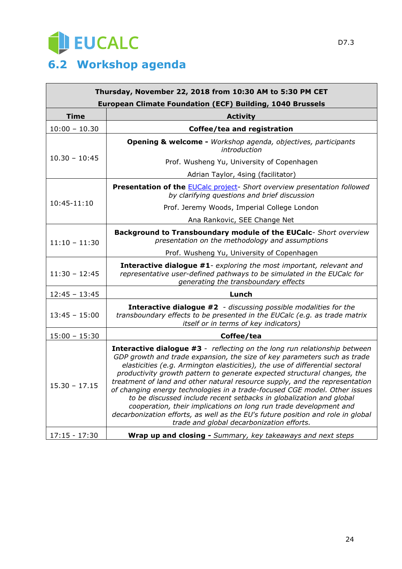

| Thursday, November 22, 2018 from 10:30 AM to 5:30 PM CET<br><b>European Climate Foundation (ECF) Building, 1040 Brussels</b> |                                                                                                                                                                                                                                                                                                                                                                                                                                                                                                                                                                                                                                                                                                                                                                   |  |
|------------------------------------------------------------------------------------------------------------------------------|-------------------------------------------------------------------------------------------------------------------------------------------------------------------------------------------------------------------------------------------------------------------------------------------------------------------------------------------------------------------------------------------------------------------------------------------------------------------------------------------------------------------------------------------------------------------------------------------------------------------------------------------------------------------------------------------------------------------------------------------------------------------|--|
| <b>Time</b>                                                                                                                  | <b>Activity</b>                                                                                                                                                                                                                                                                                                                                                                                                                                                                                                                                                                                                                                                                                                                                                   |  |
| $10:00 - 10.30$                                                                                                              | Coffee/tea and registration                                                                                                                                                                                                                                                                                                                                                                                                                                                                                                                                                                                                                                                                                                                                       |  |
|                                                                                                                              | Opening & welcome - Workshop agenda, objectives, participants<br>introduction                                                                                                                                                                                                                                                                                                                                                                                                                                                                                                                                                                                                                                                                                     |  |
| $10.30 - 10:45$                                                                                                              | Prof. Wusheng Yu, University of Copenhagen                                                                                                                                                                                                                                                                                                                                                                                                                                                                                                                                                                                                                                                                                                                        |  |
|                                                                                                                              | Adrian Taylor, 4sing (facilitator)                                                                                                                                                                                                                                                                                                                                                                                                                                                                                                                                                                                                                                                                                                                                |  |
|                                                                                                                              | Presentation of the <b>EUCalc project</b> - Short overview presentation followed<br>by clarifying questions and brief discussion                                                                                                                                                                                                                                                                                                                                                                                                                                                                                                                                                                                                                                  |  |
| 10:45-11:10                                                                                                                  | Prof. Jeremy Woods, Imperial College London                                                                                                                                                                                                                                                                                                                                                                                                                                                                                                                                                                                                                                                                                                                       |  |
|                                                                                                                              | Ana Rankovic, SEE Change Net                                                                                                                                                                                                                                                                                                                                                                                                                                                                                                                                                                                                                                                                                                                                      |  |
| $11:10 - 11:30$                                                                                                              | Background to Transboundary module of the EUCalc- Short overview<br>presentation on the methodology and assumptions                                                                                                                                                                                                                                                                                                                                                                                                                                                                                                                                                                                                                                               |  |
|                                                                                                                              | Prof. Wusheng Yu, University of Copenhagen                                                                                                                                                                                                                                                                                                                                                                                                                                                                                                                                                                                                                                                                                                                        |  |
| $11:30 - 12:45$                                                                                                              | <b>Interactive dialogue #1</b> - exploring the most important, relevant and<br>representative user-defined pathways to be simulated in the EUCalc for<br>generating the transboundary effects                                                                                                                                                                                                                                                                                                                                                                                                                                                                                                                                                                     |  |
| $12:45 - 13:45$                                                                                                              | Lunch                                                                                                                                                                                                                                                                                                                                                                                                                                                                                                                                                                                                                                                                                                                                                             |  |
| $13:45 - 15:00$                                                                                                              | <b>Interactive dialogue #2</b> - discussing possible modalities for the<br>transboundary effects to be presented in the EUCalc (e.g. as trade matrix<br>itself or in terms of key indicators)                                                                                                                                                                                                                                                                                                                                                                                                                                                                                                                                                                     |  |
| $15:00 - 15:30$                                                                                                              | Coffee/tea                                                                                                                                                                                                                                                                                                                                                                                                                                                                                                                                                                                                                                                                                                                                                        |  |
| $15.30 - 17.15$                                                                                                              | <b>Interactive dialogue #3</b> - reflecting on the long run relationship between<br>GDP growth and trade expansion, the size of key parameters such as trade<br>elasticities (e.g. Armington elasticities), the use of differential sectoral<br>productivity growth pattern to generate expected structural changes, the<br>treatment of land and other natural resource supply, and the representation<br>of changing energy technologies in a trade-focused CGE model. Other issues<br>to be discussed include recent setbacks in globalization and global<br>cooperation, their implications on long run trade development and<br>decarbonization efforts, as well as the EU's future position and role in global<br>trade and global decarbonization efforts. |  |
| $17:15 - 17:30$                                                                                                              | Wrap up and closing - Summary, key takeaways and next steps                                                                                                                                                                                                                                                                                                                                                                                                                                                                                                                                                                                                                                                                                                       |  |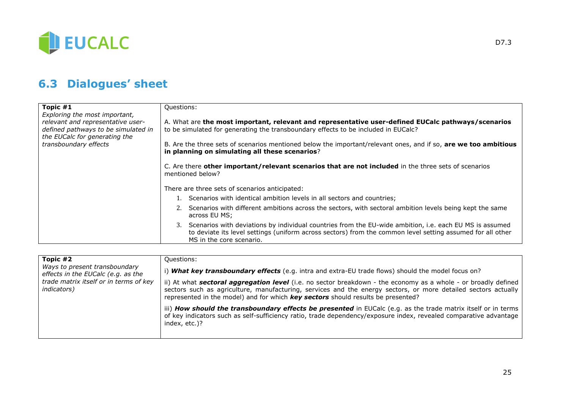

## **6.3 Dialogues' sheet**

| Topic #1<br>Exploring the most important,                                                                 | Questions:                                                                                                                                                                                                                                              |  |  |
|-----------------------------------------------------------------------------------------------------------|---------------------------------------------------------------------------------------------------------------------------------------------------------------------------------------------------------------------------------------------------------|--|--|
| relevant and representative user-<br>defined pathways to be simulated in<br>the EUCalc for generating the | A. What are the most important, relevant and representative user-defined EUCalc pathways/scenarios<br>to be simulated for generating the transboundary effects to be included in EUCalc?                                                                |  |  |
| transboundary effects                                                                                     | B. Are the three sets of scenarios mentioned below the important/relevant ones, and if so, are we too ambitious<br>in planning on simulating all these scenarios?                                                                                       |  |  |
|                                                                                                           | C. Are there other important/relevant scenarios that are not included in the three sets of scenarios<br>mentioned below?                                                                                                                                |  |  |
|                                                                                                           | There are three sets of scenarios anticipated:                                                                                                                                                                                                          |  |  |
|                                                                                                           | 1. Scenarios with identical ambition levels in all sectors and countries;                                                                                                                                                                               |  |  |
|                                                                                                           | 2. Scenarios with different ambitions across the sectors, with sectoral ambition levels being kept the same<br>across EU MS;                                                                                                                            |  |  |
|                                                                                                           | Scenarios with deviations by individual countries from the EU-wide ambition, i.e. each EU MS is assumed<br>3.<br>to deviate its level settings (uniform across sectors) from the common level setting assumed for all other<br>MS in the core scenario. |  |  |

| Topic #2<br>Ways to present transboundary<br>effects in the EUCalc (e.g. as the<br>trade matrix itself or in terms of key<br><i>indicators</i> ) | Ouestions:                                                                                                                                                                                                                                                                                                                         |
|--------------------------------------------------------------------------------------------------------------------------------------------------|------------------------------------------------------------------------------------------------------------------------------------------------------------------------------------------------------------------------------------------------------------------------------------------------------------------------------------|
|                                                                                                                                                  | <b>What key transboundary effects</b> (e.g. intra and extra-EU trade flows) should the model focus on?                                                                                                                                                                                                                             |
|                                                                                                                                                  | ii) At what <b>sectoral aggregation level</b> (i.e. no sector breakdown - the economy as a whole - or broadly defined<br>sectors such as agriculture, manufacturing, services and the energy sectors, or more detailed sectors actually<br>represented in the model) and for which <b>key sectors</b> should results be presented? |
|                                                                                                                                                  | iii) How should the transboundary effects be presented in EUCalc (e.g. as the trade matrix itself or in terms<br>of key indicators such as self-sufficiency ratio, trade dependency/exposure index, revealed comparative advantage<br>index, etc.)?                                                                                |